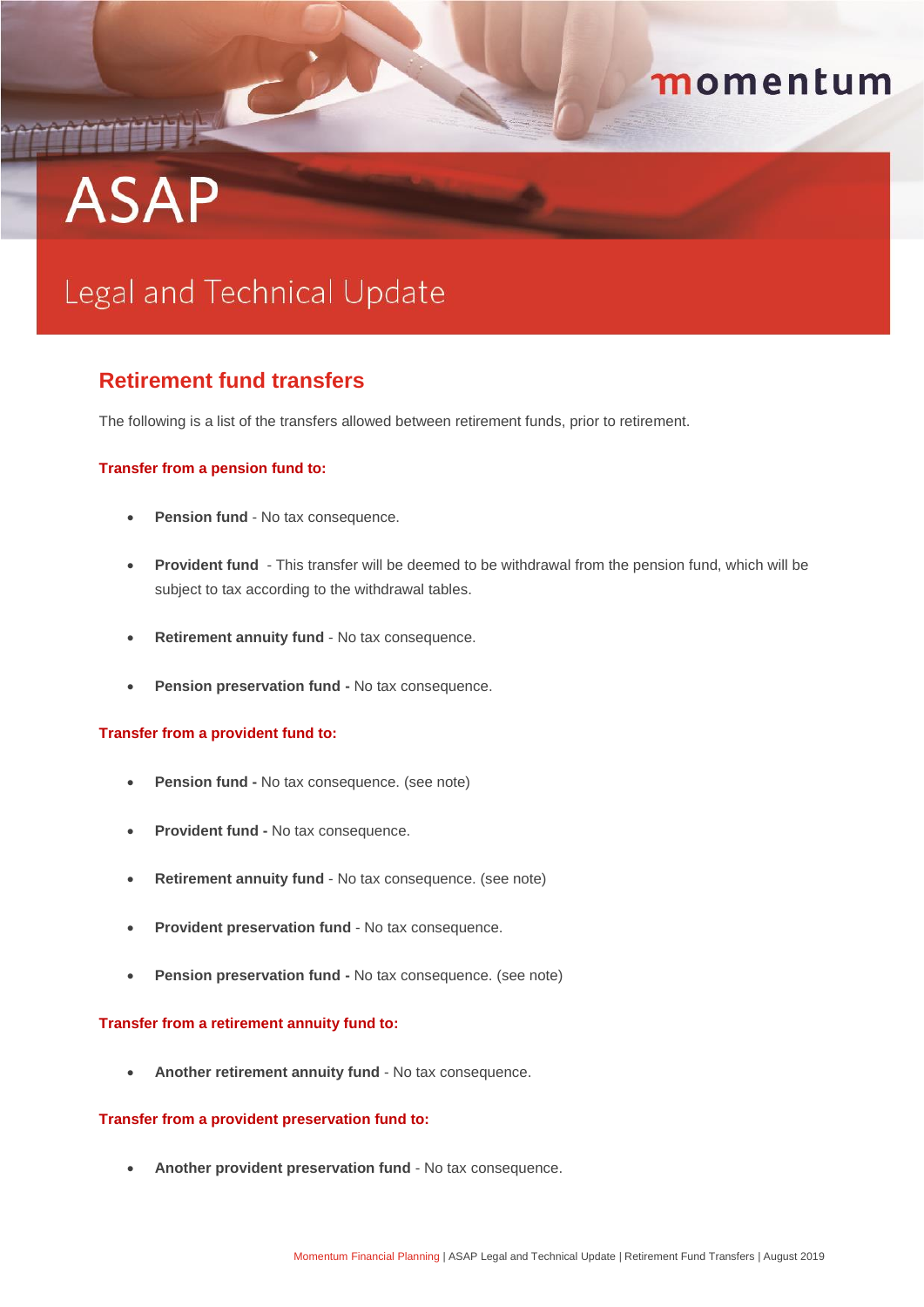# THE **ASAP**

## momentum

## Legal and Technical Update

### **Retirement fund transfers**

The following is a list of the transfers allowed between retirement funds, prior to retirement.

#### **Transfer from a pension fund to:**

- **Pension fund** No tax consequence.
- **Provident fund**  This transfer will be deemed to be withdrawal from the pension fund, which will be subject to tax according to the withdrawal tables.
- **Retirement annuity fund** No tax consequence.
- **Pension preservation fund -** No tax consequence.

#### **Transfer from a provident fund to:**

- **Pension fund -** No tax consequence. (see note)
- **Provident fund -** No tax consequence.
- **Retirement annuity fund** No tax consequence. (see note)
- **Provident preservation fund** No tax consequence.
- **Pension preservation fund -** No tax consequence. (see note)

#### **Transfer from a retirement annuity fund to:**

**Another retirement annuity fund** - No tax consequence.

#### **Transfer from a provident preservation fund to:**

**Another provident preservation fund** - No tax consequence.